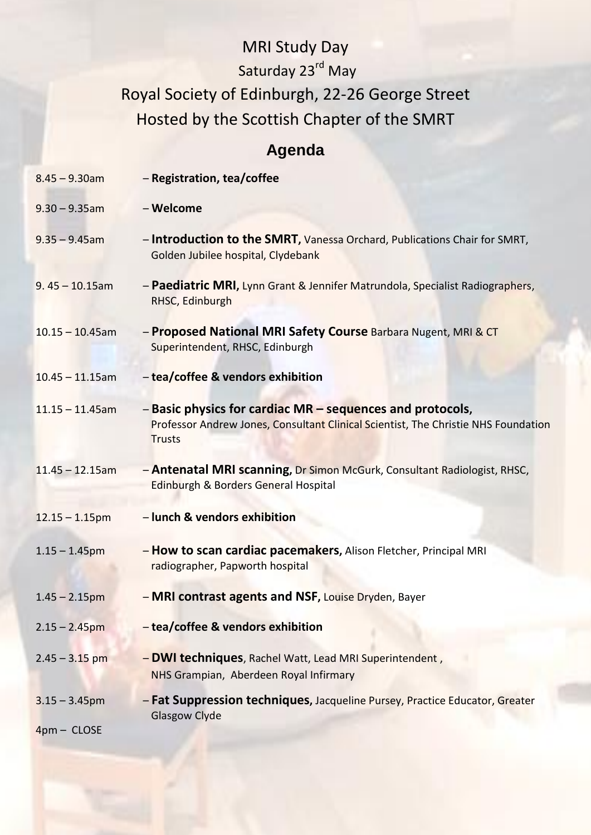## MRI Study Day Saturday 23<sup>rd</sup> May Royal Society of Edinburgh, 22-26 George Street Hosted by the Scottish Chapter of the SMRT

## **Agenda**

| $8.45 - 9.30$ am                  | - Registration, tea/coffee                                                                                                                                       |
|-----------------------------------|------------------------------------------------------------------------------------------------------------------------------------------------------------------|
| $9.30 - 9.35$ am                  | - Welcome                                                                                                                                                        |
| $9.35 - 9.45$ am                  | - Introduction to the SMRT, Vanessa Orchard, Publications Chair for SMRT,<br>Golden Jubilee hospital, Clydebank                                                  |
| $9.45 - 10.15$ am                 | - Paediatric MRI, Lynn Grant & Jennifer Matrundola, Specialist Radiographers,<br>RHSC, Edinburgh                                                                 |
| $10.15 - 10.45$ am                | - Proposed National MRI Safety Course Barbara Nugent, MRI & CT<br>Superintendent, RHSC, Edinburgh                                                                |
| $10.45 - 11.15$ am                | - tea/coffee & vendors exhibition                                                                                                                                |
| $11.15 - 11.45$ am                | - Basic physics for cardiac MR - sequences and protocols,<br>Professor Andrew Jones, Consultant Clinical Scientist, The Christie NHS Foundation<br><b>Trusts</b> |
| $11.45 - 12.15$ am                | - Antenatal MRI scanning, Dr Simon McGurk, Consultant Radiologist, RHSC,<br>Edinburgh & Borders General Hospital                                                 |
| $12.15 - 1.15$ pm                 | - lunch & vendors exhibition                                                                                                                                     |
| $1.15 - 1.45$ pm                  | - How to scan cardiac pacemakers, Alison Fletcher, Principal MRI<br>radiographer, Papworth hospital                                                              |
| $1.45 - 2.15$ pm                  | - MRI contrast agents and NSF, Louise Dryden, Bayer                                                                                                              |
| $2.15 - 2.45$ pm                  | - tea/coffee & vendors exhibition                                                                                                                                |
| $2.45 - 3.15$ pm                  | - DWI techniques, Rachel Watt, Lead MRI Superintendent,<br>NHS Grampian, Aberdeen Royal Infirmary                                                                |
| $3.15 - 3.45$ pm<br>$4pm - CLOSE$ | - Fat Suppression techniques, Jacqueline Pursey, Practice Educator, Greater<br><b>Glasgow Clyde</b>                                                              |